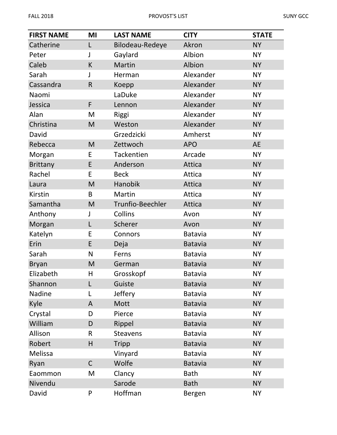| <b>FIRST NAME</b> | MI           | <b>LAST NAME</b>  | <b>CITY</b>    | <b>STATE</b> |
|-------------------|--------------|-------------------|----------------|--------------|
| Catherine         | L            | Bilodeau-Redeye   | Akron          | <b>NY</b>    |
| Peter             | J            | Gaylard           | Albion         | <b>NY</b>    |
| Caleb             | K            | Martin            | Albion         | <b>NY</b>    |
| Sarah             | J            | Herman            | Alexander      | <b>NY</b>    |
| Cassandra         | $\mathsf{R}$ | Koepp             | Alexander      | <b>NY</b>    |
| Naomi             |              | LaDuke            | Alexander      | <b>NY</b>    |
| Jessica           | F            | Lennon            | Alexander      | <b>NY</b>    |
| Alan              | M            | Riggi             | Alexander      | <b>NY</b>    |
| Christina         | M            | Weston            | Alexander      | <b>NY</b>    |
| David             |              | Grzedzicki        | Amherst        | <b>NY</b>    |
| Rebecca           | M            | Zettwoch          | <b>APO</b>     | <b>AE</b>    |
| Morgan            | E            | <b>Tackentien</b> | Arcade         | <b>NY</b>    |
| <b>Brittany</b>   | E            | Anderson          | Attica         | <b>NY</b>    |
| Rachel            | E            | <b>Beck</b>       | Attica         | <b>NY</b>    |
| Laura             | M            | Hanobik           | Attica         | <b>NY</b>    |
| <b>Kirstin</b>    | B            | Martin            | Attica         | <b>NY</b>    |
| Samantha          | M            | Trunfio-Beechler  | Attica         | <b>NY</b>    |
| Anthony           | J            | Collins           | Avon           | <b>NY</b>    |
| Morgan            | L            | Scherer           | Avon           | <b>NY</b>    |
| Katelyn           | E            | Connors           | <b>Batavia</b> | <b>NY</b>    |
| Erin              | E            | Deja              | <b>Batavia</b> | <b>NY</b>    |
| Sarah             | N            | Ferns             | Batavia        | <b>NY</b>    |
| <b>Bryan</b>      | M            | German            | <b>Batavia</b> | <b>NY</b>    |
| Elizabeth         | н            | Grosskopf         | <b>Batavia</b> | <b>NY</b>    |
| Shannon           | L            | Guiste            | <b>Batavia</b> | <b>NY</b>    |
| Nadine            | L            | Jeffery           | <b>Batavia</b> | <b>NY</b>    |
| Kyle              | A            | Mott              | <b>Batavia</b> | <b>NY</b>    |
| Crystal           | D            | Pierce            | Batavia        | <b>NY</b>    |
| William           | D            | Rippel            | <b>Batavia</b> | <b>NY</b>    |
| Allison           | R            | <b>Steavens</b>   | Batavia        | <b>NY</b>    |
| Robert            | H            | Tripp             | <b>Batavia</b> | <b>NY</b>    |
| Melissa           |              | Vinyard           | <b>Batavia</b> | <b>NY</b>    |
| Ryan              | $\mathsf C$  | Wolfe             | <b>Batavia</b> | <b>NY</b>    |
| Eaommon           | M            | Clancy            | <b>Bath</b>    | <b>NY</b>    |
| Nivendu           |              | Sarode            | <b>Bath</b>    | <b>NY</b>    |
| David             | P            | Hoffman           | Bergen         | <b>NY</b>    |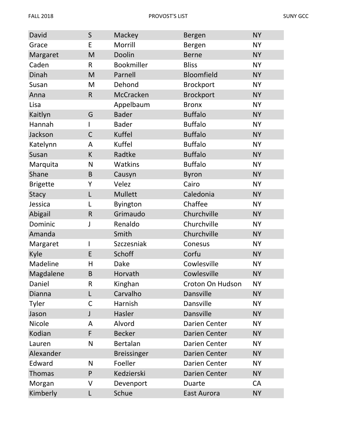| David           | $\mathsf{S}$ | Mackey             | Bergen               | <b>NY</b> |
|-----------------|--------------|--------------------|----------------------|-----------|
| Grace           | E            | Morrill            | Bergen               | <b>NY</b> |
| Margaret        | M            | Doolin             | <b>Berne</b>         | <b>NY</b> |
| Caden           | R            | <b>Bookmiller</b>  | <b>Bliss</b>         | <b>NY</b> |
| Dinah           | M            | Parnell            | Bloomfield           | <b>NY</b> |
| Susan           | M            | Dehond             | <b>Brockport</b>     | <b>NY</b> |
| Anna            | $\mathsf{R}$ | McCracken          | <b>Brockport</b>     | <b>NY</b> |
| Lisa            |              | Appelbaum          | <b>Bronx</b>         | <b>NY</b> |
| Kaitlyn         | G            | <b>Bader</b>       | <b>Buffalo</b>       | <b>NY</b> |
| Hannah          |              | <b>Bader</b>       | <b>Buffalo</b>       | <b>NY</b> |
| Jackson         | $\mathsf C$  | Kuffel             | <b>Buffalo</b>       | <b>NY</b> |
| Katelynn        | A            | Kuffel             | <b>Buffalo</b>       | <b>NY</b> |
| Susan           | K            | Radtke             | <b>Buffalo</b>       | <b>NY</b> |
| Marquita        | N            | <b>Watkins</b>     | <b>Buffalo</b>       | <b>NY</b> |
| Shane           | B            | Causyn             | <b>Byron</b>         | <b>NY</b> |
| <b>Brigette</b> | Υ            | Velez              | Cairo                | <b>NY</b> |
| <b>Stacy</b>    | L            | Mullett            | Caledonia            | <b>NY</b> |
| Jessica         | L            | <b>Byington</b>    | Chaffee              | <b>NY</b> |
| Abigail         | $\mathsf{R}$ | Grimaudo           | Churchville          | <b>NY</b> |
| Dominic         |              | Renaldo            | Churchville          | <b>NY</b> |
| Amanda          |              | Smith              | Churchville          | <b>NY</b> |
| Margaret        | L            | Szczesniak         | Conesus              | <b>NY</b> |
| Kyle            | E            | Schoff             | Corfu                | <b>NY</b> |
| Madeline        | H            | Dake               | Cowlesville          | <b>NY</b> |
| Magdalene       | B            | Horvath            | Cowlesville          | <b>NY</b> |
| Daniel          | R            | Kinghan            | Croton On Hudson     | <b>NY</b> |
| Dianna          | L            | Carvalho           | <b>Dansville</b>     | <b>NY</b> |
| Tyler           | C            | Harnish            | Dansville            | <b>NY</b> |
| Jason           | J            | Hasler             | <b>Dansville</b>     | <b>NY</b> |
| Nicole          | A            | Alvord             | <b>Darien Center</b> | <b>NY</b> |
| Kodian          | F            | <b>Becker</b>      | <b>Darien Center</b> | <b>NY</b> |
| Lauren          | N            | Bertalan           | <b>Darien Center</b> | <b>NY</b> |
| Alexander       |              | <b>Breissinger</b> | <b>Darien Center</b> | <b>NY</b> |
| Edward          | N            | Foeller            | <b>Darien Center</b> | <b>NY</b> |
| <b>Thomas</b>   | P            | Kedzierski         | <b>Darien Center</b> | <b>NY</b> |
| Morgan          | ٧            | Devenport          | Duarte               | <b>CA</b> |
| Kimberly        | L            | Schue              | East Aurora          | <b>NY</b> |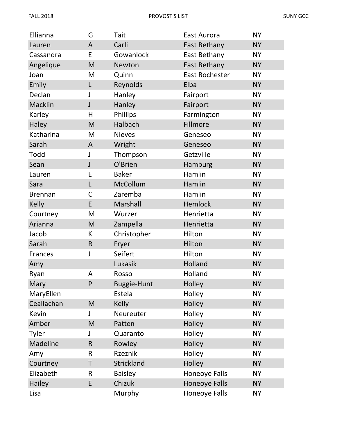| Ellianna       | G              | Tait           | East Aurora           | <b>NY</b> |
|----------------|----------------|----------------|-----------------------|-----------|
| Lauren         | $\overline{A}$ | Carli          | <b>East Bethany</b>   | <b>NY</b> |
| Cassandra      | E              | Gowanlock      | East Bethany          | <b>NY</b> |
| Angelique      | M              | Newton         | East Bethany          | <b>NY</b> |
| Joan           | M              | Quinn          | <b>East Rochester</b> | <b>NY</b> |
| Emily          | L              | Reynolds       | Elba                  | <b>NY</b> |
| Declan         | J              | Hanley         | Fairport              | <b>NY</b> |
| Macklin        | J              | Hanley         | Fairport              | <b>NY</b> |
| Karley         | Η              | Phillips       | Farmington            | <b>NY</b> |
| Haley          | M              | Halbach        | Fillmore              | <b>NY</b> |
| Katharina      | M              | <b>Nieves</b>  | Geneseo               | <b>NY</b> |
| Sarah          | A              | Wright         | Geneseo               | <b>NY</b> |
| Todd           | J              | Thompson       | Getzville             | <b>NY</b> |
| Sean           | $\mathsf{J}$   | O'Brien        | Hamburg               | <b>NY</b> |
| Lauren         | E              | <b>Baker</b>   | Hamlin                | <b>NY</b> |
| Sara           | L              | McCollum       | Hamlin                | <b>NY</b> |
| <b>Brennan</b> | $\mathsf{C}$   | Zaremba        | Hamlin                | <b>NY</b> |
| <b>Kelly</b>   | E              | Marshall       | Hemlock               | <b>NY</b> |
| Courtney       | M              | Wurzer         | Henrietta             | <b>NY</b> |
| Arianna        | M              | Zampella       | Henrietta             | <b>NY</b> |
| Jacob          | К              | Christopher    | Hilton                | <b>NY</b> |
| Sarah          | $\mathsf{R}$   | Fryer          | Hilton                | <b>NY</b> |
| Frances        | J              | Seifert        | Hilton                | <b>NY</b> |
| Amy            |                | Lukasik        | Holland               | <b>NY</b> |
| Ryan           | А              | Rosso          | Holland               | NΥ        |
| Mary           | P              | Buggie-Hunt    | Holley                | <b>NY</b> |
| MaryEllen      |                | Estela         | Holley                | <b>NY</b> |
| Ceallachan     | M              | <b>Kelly</b>   | Holley                | <b>NY</b> |
| Kevin          | J              | Neureuter      | Holley                | <b>NY</b> |
| Amber          | M              | Patten         | Holley                | <b>NY</b> |
| Tyler          |                | Quaranto       | Holley                | <b>NY</b> |
| Madeline       | $\mathsf R$    | Rowley         | Holley                | <b>NY</b> |
| Amy            | R              | Rzeznik        | Holley                | <b>NY</b> |
| Courtney       | T              | Strickland     | Holley                | <b>NY</b> |
| Elizabeth      | R              | <b>Baisley</b> | Honeoye Falls         | <b>NY</b> |
| Hailey         | E              | Chizuk         | <b>Honeoye Falls</b>  | <b>NY</b> |
| Lisa           |                | Murphy         | <b>Honeoye Falls</b>  | <b>NY</b> |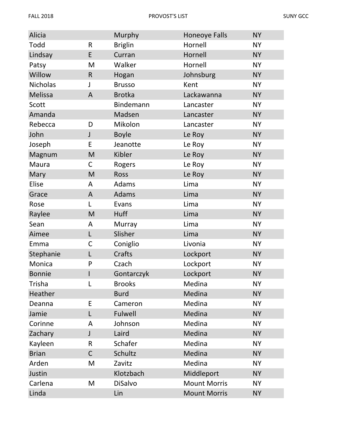| Alicia          |                | Murphy         | <b>Honeoye Falls</b> | <b>NY</b> |
|-----------------|----------------|----------------|----------------------|-----------|
| Todd            | R              | <b>Briglin</b> | Hornell              | <b>NY</b> |
| Lindsay         | E              | Curran         | Hornell              | <b>NY</b> |
| Patsy           | M              | Walker         | Hornell              | <b>NY</b> |
| Willow          | $\mathsf R$    | Hogan          | Johnsburg            | <b>NY</b> |
| <b>Nicholas</b> | J              | <b>Brusso</b>  | Kent                 | <b>NY</b> |
| <b>Melissa</b>  | $\overline{A}$ | <b>Brotka</b>  | Lackawanna           | <b>NY</b> |
| Scott           |                | Bindemann      | Lancaster            | <b>NY</b> |
| Amanda          |                | Madsen         | Lancaster            | <b>NY</b> |
| Rebecca         | D              | Mikolon        | Lancaster            | <b>NY</b> |
| John            | $\mathsf J$    | <b>Boyle</b>   | Le Roy               | <b>NY</b> |
| Joseph          | E              | Jeanotte       | Le Roy               | <b>NY</b> |
| Magnum          | M              | Kibler         | Le Roy               | <b>NY</b> |
| Maura           | С              | Rogers         | Le Roy               | <b>NY</b> |
| Mary            | M              | <b>Ross</b>    | Le Roy               | <b>NY</b> |
| Elise           | A              | Adams          | Lima                 | <b>NY</b> |
| Grace           | A              | Adams          | Lima                 | <b>NY</b> |
| Rose            | L              | Evans          | Lima                 | <b>NY</b> |
| Raylee          | M              | <b>Huff</b>    | Lima                 | <b>NY</b> |
| Sean            | A              | Murray         | Lima                 | <b>NY</b> |
| Aimee           | L              | Slisher        | Lima                 | <b>NY</b> |
| Emma            | C              | Coniglio       | Livonia              | <b>NY</b> |
| Stephanie       | L              | Crafts         | Lockport             | <b>NY</b> |
| Monica          | P              | Czach          | Lockport             | <b>NY</b> |
| <b>Bonnie</b>   |                | Gontarczyk     | Lockport             | <b>NY</b> |
| Trisha          | L              | <b>Brooks</b>  | Medina               | <b>NY</b> |
| Heather         |                | <b>Burd</b>    | Medina               | <b>NY</b> |
| Deanna          | E              | Cameron        | Medina               | <b>NY</b> |
| Jamie           | L              | Fulwell        | Medina               | <b>NY</b> |
| Corinne         | A              | Johnson        | Medina               | <b>NY</b> |
| Zachary         | J              | Laird          | Medina               | <b>NY</b> |
| Kayleen         | R              | Schafer        | Medina               | <b>NY</b> |
| <b>Brian</b>    | $\mathsf C$    | Schultz        | Medina               | <b>NY</b> |
| Arden           | M              | Zavitz         | Medina               | <b>NY</b> |
| Justin          |                | Klotzbach      | Middleport           | <b>NY</b> |
| Carlena         | M              | <b>DiSalvo</b> | <b>Mount Morris</b>  | <b>NY</b> |
| Linda           |                | Lin            | <b>Mount Morris</b>  | <b>NY</b> |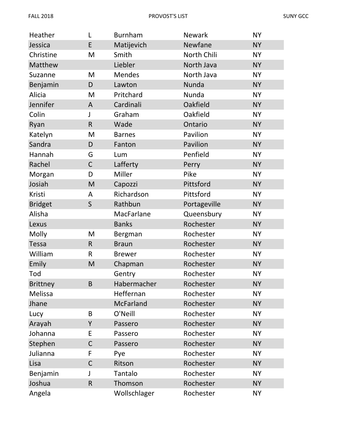| Heather         | L              | <b>Burnham</b>   | <b>Newark</b> | <b>NY</b> |
|-----------------|----------------|------------------|---------------|-----------|
| Jessica         | E              | Matijevich       | Newfane       | <b>NY</b> |
| Christine       | M              | Smith            | North Chili   | <b>NY</b> |
| Matthew         |                | Liebler          | North Java    | <b>NY</b> |
| Suzanne         | M              | <b>Mendes</b>    | North Java    | <b>NY</b> |
| Benjamin        | D              | Lawton           | Nunda         | <b>NY</b> |
| Alicia          | M              | Pritchard        | Nunda         | <b>NY</b> |
| Jennifer        | $\overline{A}$ | Cardinali        | Oakfield      | <b>NY</b> |
| Colin           | J              | Graham           | Oakfield      | <b>NY</b> |
| Ryan            | $\mathsf{R}$   | Wade             | Ontario       | <b>NY</b> |
| Katelyn         | M              | <b>Barnes</b>    | Pavilion      | <b>NY</b> |
| Sandra          | D              | Fanton           | Pavilion      | <b>NY</b> |
| Hannah          | G              | Lum              | Penfield      | <b>NY</b> |
| Rachel          | $\mathsf C$    | Lafferty         | Perry         | <b>NY</b> |
| Morgan          | D              | Miller           | Pike          | <b>NY</b> |
| Josiah          | M              | Capozzi          | Pittsford     | <b>NY</b> |
| Kristi          | A              | Richardson       | Pittsford     | <b>NY</b> |
| <b>Bridget</b>  | $\mathsf S$    | Rathbun          | Portageville  | <b>NY</b> |
| Alisha          |                | MacFarlane       | Queensbury    | <b>NY</b> |
| Lexus           |                | <b>Banks</b>     | Rochester     | <b>NY</b> |
| Molly           | M              | Bergman          | Rochester     | <b>NY</b> |
| <b>Tessa</b>    | $\mathsf R$    | <b>Braun</b>     | Rochester     | <b>NY</b> |
| William         | $\mathsf R$    | <b>Brewer</b>    | Rochester     | <b>NY</b> |
| Emily           | M              | Chapman          | Rochester     | <b>NY</b> |
| Tod             |                | Gentry           | Rochester     | <b>NY</b> |
| <b>Brittney</b> | B              | Habermacher      | Rochester     | <b>NY</b> |
| Melissa         |                | Heffernan        | Rochester     | <b>NY</b> |
| Jhane           |                | <b>McFarland</b> | Rochester     | <b>NY</b> |
| Lucy            | B              | O'Neill          | Rochester     | <b>NY</b> |
| Arayah          | Y              | Passero          | Rochester     | <b>NY</b> |
| Johanna         | E              | Passero          | Rochester     | <b>NY</b> |
| Stephen         | $\mathsf C$    | Passero          | Rochester     | <b>NY</b> |
| Julianna        | F              | Pye              | Rochester     | <b>NY</b> |
| Lisa            | $\mathsf{C}$   | Ritson           | Rochester     | <b>NY</b> |
| Benjamin        |                | Tantalo          | Rochester     | <b>NY</b> |
| Joshua          | $\mathsf{R}$   | Thomson          | Rochester     | <b>NY</b> |
| Angela          |                | Wollschlager     | Rochester     | <b>NY</b> |